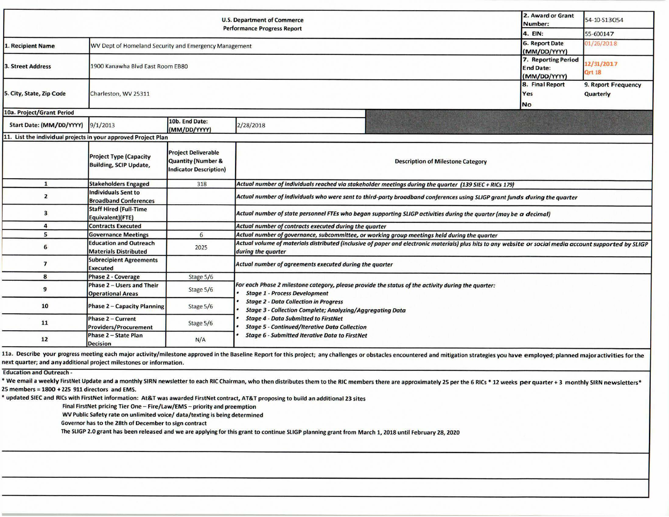| <b>U.S. Department of Commerce</b>                             |                                                                |                                                                                   |                                                                                                                                                                                                                                                                                  |                                     |                                                         | 54-10-S13054                |  |  |
|----------------------------------------------------------------|----------------------------------------------------------------|-----------------------------------------------------------------------------------|----------------------------------------------------------------------------------------------------------------------------------------------------------------------------------------------------------------------------------------------------------------------------------|-------------------------------------|---------------------------------------------------------|-----------------------------|--|--|
| <b>Performance Progress Report</b>                             |                                                                |                                                                                   |                                                                                                                                                                                                                                                                                  |                                     | 4. EIN:                                                 | 55-600147                   |  |  |
| 1. Recipient Name                                              | WV Dept of Homeland Security and Emergency Management          |                                                                                   |                                                                                                                                                                                                                                                                                  |                                     | <b>6. Report Date</b><br>(MM/DD/YYYY)                   | 01/26/2018                  |  |  |
| <b>3. Street Address</b>                                       | 1900 Kanawha Blyd East Room EB80                               |                                                                                   |                                                                                                                                                                                                                                                                                  |                                     | 7. Reporting Period<br><b>End Date:</b><br>(MM/DD/YYYY) | 12/31/2017<br><b>Qrt 18</b> |  |  |
| 5. City, State, Zip Code                                       | Charleston, WV 25311                                           |                                                                                   |                                                                                                                                                                                                                                                                                  | 8. Final Report<br>Yes<br><b>No</b> | 9. Report Frequency<br>Quarterly                        |                             |  |  |
| 10a. Project/Grant Period                                      |                                                                |                                                                                   |                                                                                                                                                                                                                                                                                  |                                     |                                                         |                             |  |  |
| Start Date: (MM/DD/YYYY)                                       | 9/1/2013                                                       | 10b. End Date:<br>(MM/DD/YYYY)                                                    | 2/28/2018                                                                                                                                                                                                                                                                        |                                     |                                                         |                             |  |  |
| 11. List the individual projects in your approved Project Plan |                                                                |                                                                                   |                                                                                                                                                                                                                                                                                  |                                     |                                                         |                             |  |  |
|                                                                | <b>Project Type (Capacity</b><br><b>Building, SCIP Update,</b> | <b>Project Deliverable</b><br>Quantity (Number &<br><b>Indicator Description)</b> | <b>Description of Milestone Category</b>                                                                                                                                                                                                                                         |                                     |                                                         |                             |  |  |
| $\mathbf{1}$                                                   | <b>Stakeholders Engaged</b>                                    | 318                                                                               | Actual number of individuals reached via stakeholder meetings during the quarter (139 SIEC + RICs 179)                                                                                                                                                                           |                                     |                                                         |                             |  |  |
| $\overline{2}$                                                 | <b>Individuals Sent to</b><br><b>Broadband Conferences</b>     |                                                                                   | Actual number of individuals who were sent to third-party broadband conferences using SLIGP grant funds during the quarter                                                                                                                                                       |                                     |                                                         |                             |  |  |
| 3                                                              | <b>Staff Hired (Full-Time</b><br>Equivalent)(FTE)              |                                                                                   | Actual number of state personnel FTEs who began supporting SLIGP activities during the quarter (may be a decimal)                                                                                                                                                                |                                     |                                                         |                             |  |  |
| 4                                                              | <b>Contracts Executed</b>                                      |                                                                                   | Actual number of contracts executed during the quarter                                                                                                                                                                                                                           |                                     |                                                         |                             |  |  |
| 5                                                              | <b>Governance Meetings</b>                                     | 6                                                                                 | Actual number of governance, subcommittee, or working group meetings held during the quarter                                                                                                                                                                                     |                                     |                                                         |                             |  |  |
| 6                                                              | <b>Education and Outreach</b><br><b>Materials Distributed</b>  | 2025                                                                              | Actual volume of materials distributed (inclusive of paper and electronic materials) plus hits to any website or social media account supported by SLIGP<br>during the quarter                                                                                                   |                                     |                                                         |                             |  |  |
| $\overline{ }$                                                 | <b>Subrecipient Agreements</b><br><b>Executed</b>              |                                                                                   | Actual number of agreements executed during the quarter                                                                                                                                                                                                                          |                                     |                                                         |                             |  |  |
| 8                                                              | <b>Phase 2 - Coverage</b>                                      | Stage 5/6                                                                         |                                                                                                                                                                                                                                                                                  |                                     |                                                         |                             |  |  |
| 9                                                              | Phase 2 - Users and Their<br><b>Operational Areas</b>          | Stage 5/6                                                                         | For each Phase 2 milestone category, please provide the status of the activity during the quarter:<br><b>Stage 1 - Process Development</b>                                                                                                                                       |                                     |                                                         |                             |  |  |
| 10                                                             | <b>Phase 2 - Capacity Planning</b>                             | Stage 5/6                                                                         | <b>Stage 2 - Data Collection in Progress</b><br><b>Stage 3 - Collection Complete; Analyzing/Aggregating Data</b><br><b>Stage 4 - Data Submitted to FirstNet</b><br><b>Stage 5 - Continued/Iterative Data Collection</b><br><b>Stage 6 - Submitted Iterative Data to FirstNet</b> |                                     |                                                         |                             |  |  |
| 11                                                             | <b>Phase 2 - Current</b><br><b>Providers/Procurement</b>       | Stage 5/6                                                                         |                                                                                                                                                                                                                                                                                  |                                     |                                                         |                             |  |  |
| 12                                                             | Phase 2 - State Plan<br><b>Decision</b>                        | N/A                                                                               |                                                                                                                                                                                                                                                                                  |                                     |                                                         |                             |  |  |

11a. Describe your progress meeting each major activity/milestone approved in the Baseline Report for this project; any challenges or obstacles encountered and mitigation strategies you have employed; planned major activit next quarter; and any additional project milestones or information.

Education and Outreach -

\* We email a weekly FirstNet Update and a monthly SIRN newsletter to each RIC Chairman, who then distributes them to the RIC members there are approximately 25 per the 6 RICs \* 12 weeks per quarter + 3 monthly SIRN newslet 25 members = 1800 + 225 911 directors and EMS.

• updated SIEC and RICs with FirstNet information: At& Twas awarded FirstNet contract, AT&T proposing to build an additional 23 sites

Final FirstNet pricing Tier One - Fire/Law/EMS - priority and preemption

WV Public Safety rate on unlimited voice/ data/texting is being determined

Governor has to the 28th of December to sign contract

The SLIGP 2.0 grant has been released and we are applying for this grant to continue SLIGP planning grant from March 1, 2018 until February 28, 2020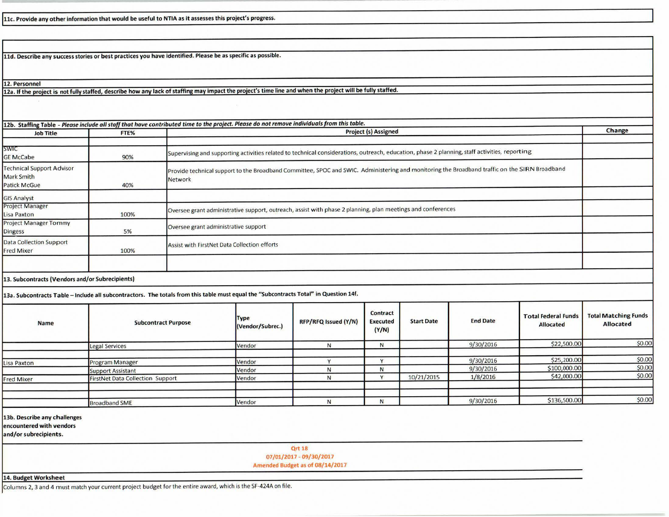11c. Provide any other information that would be useful to NTIA as it assesses this project's progress.

**lld. Describe any success stories or best practices you have identified. Please be as specific as possible.** 

**12. Personnel** 

12a. If the project is not fully staffed, describe how any lack of staffing may impact the project's time line and when the project will be fully staffed.

| <b>Job Title</b>                                                                                                                      | FTE%                   | 12b. Staffing Table - Please include all staff that have contributed time to the project. Please do not remove individuals from this table.<br><b>Project (s) Assigned</b> |                                                                                                                                               |                      |                                      |                   |                 | Change                                         |                                                 |
|---------------------------------------------------------------------------------------------------------------------------------------|------------------------|----------------------------------------------------------------------------------------------------------------------------------------------------------------------------|-----------------------------------------------------------------------------------------------------------------------------------------------|----------------------|--------------------------------------|-------------------|-----------------|------------------------------------------------|-------------------------------------------------|
|                                                                                                                                       |                        |                                                                                                                                                                            |                                                                                                                                               |                      |                                      |                   |                 |                                                |                                                 |
| <b>SWIC</b><br><b>GE McCabe</b>                                                                                                       | 90%                    |                                                                                                                                                                            | Supervising and supporting activities related to technical considerations, outreach, education, phase 2 planning, staff activities, reporting |                      |                                      |                   |                 |                                                |                                                 |
| <b>Technical Support Advisor</b><br><b>Mark Smith</b><br><b>Patick McGue</b>                                                          | 40%                    | Network                                                                                                                                                                    | Provide technical support to the Broadband Committee, SPOC and SWIC. Administering and monitoring the Broadband traffic on the SIRN Broadband |                      |                                      |                   |                 |                                                |                                                 |
| <b>GIS Analyst</b>                                                                                                                    |                        |                                                                                                                                                                            |                                                                                                                                               |                      |                                      |                   |                 |                                                |                                                 |
| <b>Project Manager</b><br>Lisa Paxton                                                                                                 | 100%                   |                                                                                                                                                                            | Oversee grant administrative support, outreach, assist with phase 2 planning, plan meetings and conferences                                   |                      |                                      |                   |                 |                                                |                                                 |
| <b>Project Manager Tommy</b><br>Dingess                                                                                               | 5%                     |                                                                                                                                                                            | Oversee grant administrative support                                                                                                          |                      |                                      |                   |                 |                                                |                                                 |
| <b>Data Collection Support</b><br><b>Fred Mixer</b>                                                                                   | 100%                   |                                                                                                                                                                            | Assist with FirstNet Data Collection efforts                                                                                                  |                      |                                      |                   |                 |                                                |                                                 |
| 13. Subcontracts (Vendors and/or Subrecipients)                                                                                       |                        |                                                                                                                                                                            |                                                                                                                                               |                      |                                      |                   |                 |                                                |                                                 |
| 13a. Subcontracts Table - Include all subcontractors. The totals from this table must equal the "Subcontracts Total" in Question 14f. |                        |                                                                                                                                                                            |                                                                                                                                               |                      |                                      |                   |                 |                                                |                                                 |
| <b>Name</b>                                                                                                                           |                        | <b>Subcontract Purpose</b>                                                                                                                                                 | <b>Type</b><br>(Vendor/Subrec.)                                                                                                               | RFP/RFQ Issued (Y/N) | Contract<br><b>Executed</b><br>(Y/N) | <b>Start Date</b> | <b>End Date</b> | <b>Total Federal Funds</b><br><b>Allocated</b> | <b>Total Matching Funds</b><br><b>Allocated</b> |
|                                                                                                                                       | <b>Legal Services</b>  |                                                                                                                                                                            | Vendor                                                                                                                                        | N                    | N                                    |                   | 9/30/2016       | \$22,500.00                                    | \$0.00                                          |
|                                                                                                                                       |                        |                                                                                                                                                                            |                                                                                                                                               |                      |                                      |                   |                 |                                                |                                                 |
| Lisa Paxton                                                                                                                           | <b>Program Manager</b> |                                                                                                                                                                            | Vendor                                                                                                                                        | Y                    | $\vee$                               |                   | 9/30/2016       | \$25,200.00                                    | \$0.00<br>\$0.00                                |
|                                                                                                                                       | Cunnort Accident       |                                                                                                                                                                            | Vendor                                                                                                                                        | N                    | N                                    |                   | 9/30/2016       | \$100,000.00                                   |                                                 |

| <b>Name</b>       | <b>Subcontract Purpose</b>              | <b>Type</b><br>(Vendor/Subrec.) | RFP/RFQ Issued (Y/N) | <b>Contract</b><br><b>Executed</b><br>(Y/N) | <b>Start Date</b> | <b>End Date</b> | <b>Total Federal Funds</b><br><b>Allocated</b> | <b>Total Matching Funds</b><br><b>Allocated</b> |
|-------------------|-----------------------------------------|---------------------------------|----------------------|---------------------------------------------|-------------------|-----------------|------------------------------------------------|-------------------------------------------------|
|                   | Legal Services                          | Vendor                          |                      | N                                           |                   | 9/30/2016       | \$22,500.00                                    | \$0.00                                          |
|                   |                                         |                                 |                      |                                             |                   |                 |                                                |                                                 |
| Lisa Paxton       | <b>Program Manager</b>                  | Vendor                          |                      |                                             |                   | 9/30/2016       | \$25,200.00                                    | \$0.00                                          |
|                   | <b>Support Assistant</b>                | Vendor                          |                      | N                                           |                   | 9/30/2016       | \$100,000.00                                   | \$0.00                                          |
| <b>Fred Mixer</b> | <b>FirstNet Data Collection Support</b> | Vendor                          |                      |                                             | 10/21/2015        | 1/8/2016        | \$42,000.00                                    | \$0.00                                          |
|                   |                                         |                                 |                      |                                             |                   |                 |                                                |                                                 |
|                   | <b>Broadband SME</b>                    | Vendor                          |                      | N                                           |                   | 9/30/2016       | \$136,500.00                                   | \$0.00                                          |

**13b. Describe any challenges** 

**encountered with vendors** 

**and/or subrecipients.** 

**Qrt 18** 

**07/01/2017** - **09/30/2017** 

**Amended Budget as of 08/14/2017** 

**14. Budget Worksheet** 

Columns 2, 3 and 4 must match your current project budget for the entire award, which is the SF-424A on file.